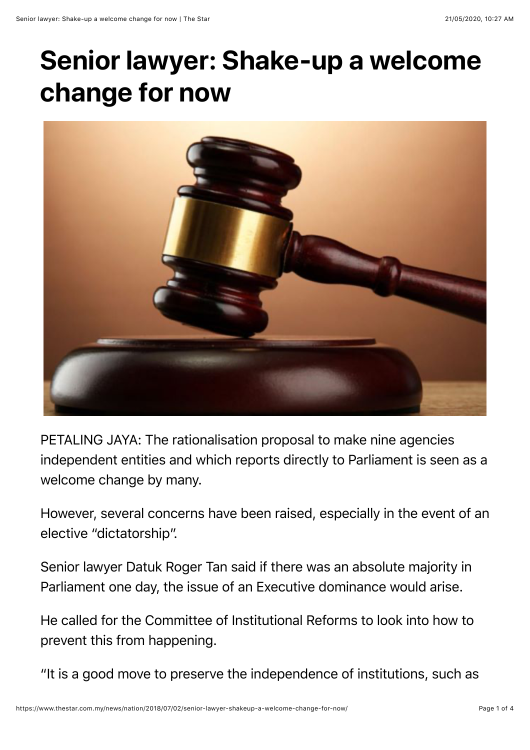## **Senior lawyer: Shake-up a welcome change for now**



PETALING JAYA: The rationalisation proposal to make nine agencies independent entities and which reports directly to Parliament is seen as a welcome change by many.

However, several concerns have been raised, especially in the event of an elective "dictatorship".

Senior lawyer Datuk Roger Tan said if there was an absolute majority in Parliament one day, the issue of an Executive dominance would arise.

He called for the Committee of Institutional Reforms to look into how to prevent this from happening.

"It is a good move to preserve the independence of institutions, such as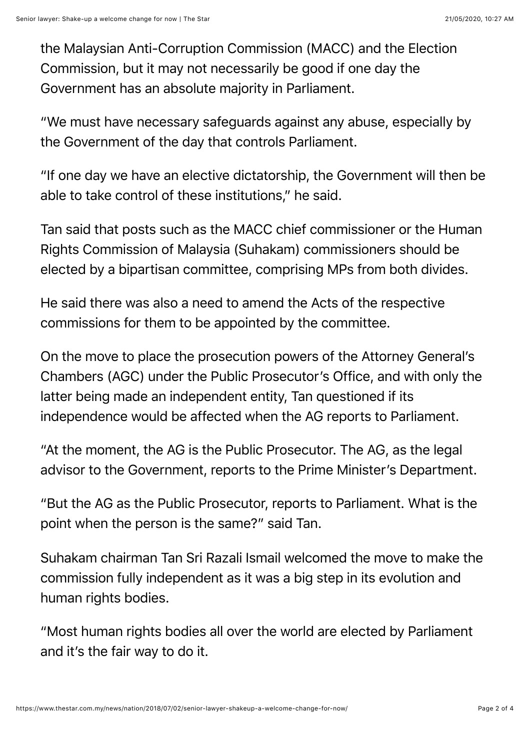the Malaysian Anti-Corruption Commission (MACC) and the Election Commission, but it may not necessarily be good if one day the Government has an absolute majority in Parliament.

"We must have necessary safeguards against any abuse, especially by the Government of the day that controls Parliament.

"If one day we have an elective dictatorship, the Government will then be able to take control of these institutions," he said.

Tan said that posts such as the MACC chief commissioner or the Human Rights Commission of Malaysia (Suhakam) commissioners should be elected by a bipartisan committee, comprising MPs from both divides.

He said there was also a need to amend the Acts of the respective commissions for them to be appointed by the committee.

On the move to place the prosecution powers of the Attorney General's Chambers (AGC) under the Public Prosecutor's Office, and with only the latter being made an independent entity, Tan questioned if its independence would be affected when the AG reports to Parliament.

"At the moment, the AG is the Public Prosecutor. The AG, as the legal advisor to the Government, reports to the Prime Minister's Department.

"But the AG as the Public Prosecutor, reports to Parliament. What is the point when the person is the same?" said Tan.

Suhakam chairman Tan Sri Razali Ismail welcomed the move to make the commission fully independent as it was a big step in its evolution and human rights bodies.

"Most human rights bodies all over the world are elected by Parliament and it's the fair way to do it.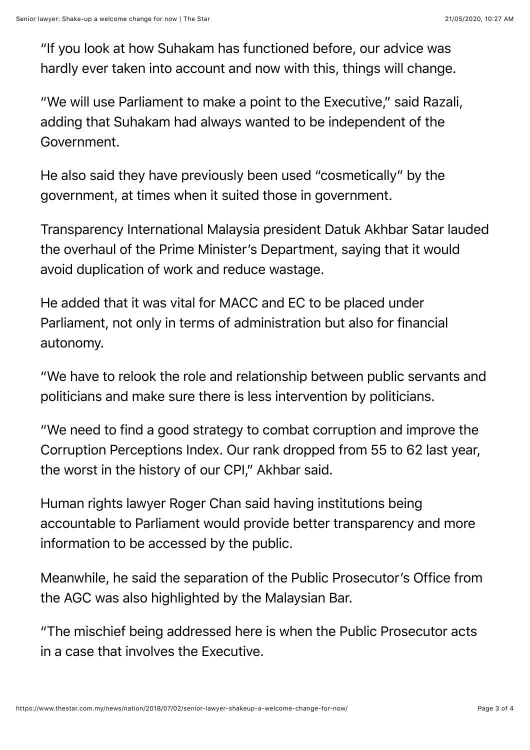"If you look at how Suhakam has functioned before, our advice was hardly ever taken into account and now with this, things will change.

"We will use Parliament to make a point to the Executive," said Razali, adding that Suhakam had always wanted to be independent of the Government.

He also said they have previously been used "cosmetically" by the government, at times when it suited those in government.

Transparency International Malaysia president Datuk Akhbar Satar lauded the overhaul of the Prime Minister's Department, saying that it would avoid duplication of work and reduce wastage.

He added that it was vital for MACC and EC to be placed under Parliament, not only in terms of administration but also for financial autonomy.

"We have to relook the role and relationship between public servants and politicians and make sure there is less intervention by politicians.

"We need to find a good strategy to combat corruption and improve the Corruption Perceptions Index. Our rank dropped from 55 to 62 last year, the worst in the history of our CPI," Akhbar said.

Human rights lawyer Roger Chan said having institutions being accountable to Parliament would provide better transparency and more information to be accessed by the public.

Meanwhile, he said the separation of the Public Prosecutor's Office from the AGC was also highlighted by the Malaysian Bar.

"The mischief being addressed here is when the Public Prosecutor acts in a case that involves the Executive.